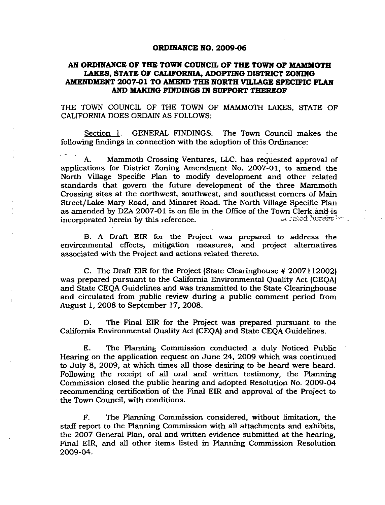#### **ORDINANCE NO. 2009-06**

#### AN ORDINANCE OF THE TOWN COUNCIL OF THE TOWN OF MAMMOTH **LAKES, STATE OF CALIFORNIA, ADOPTING DISTRICT ZONING AMENDMENT 2007-01 TO AMEND THE NORTH VILLAGE SPECIFIC PLAN AND MAKING FINDINGS IN SUPPORT THEREOF**

THE TOWN COUNCIL OF THE TOWN OF MAMMOTH LAKES, STATE OF CALIFORNIA DOES ORDAIN AS FOLLOWS:

Section 1. GENERAL FINDINGS. The Town Council makes the following findings in connection with the adoption of this Ordinance:

A. Mammoth Crossing Ventures, LLC. has requested approval of applications for District Zoning Amendment No. 2007-01, to amend the North Village Specific Plan to modiiy development and other related standards that govern the future development of the three Mammoth Crossing sites at the northwest, southwest, and southeast corners of Main Street/Lake Mary Road, and Minaret Road. The North Village Specific Plan as amended by DZA 2007-01 is on file in the Office of the Town Clerk and is incorporated herein by this reference. A state of the set of the set of the set of the set of the set of the set of the set of the set of the set of the set of the set of the set of the set of the set of the set of the set

B. A Draft EIR for the Project was prepared to address the environmental effects, mitigation measures, and project alternatives associated with the Project and actions related thereto.

C. The Draft EIR for the Project (State Clearinghouse # 2007112002) was prepared pursuant to the California Environmental Quality Act (CEQA) and State CEQA Guidelines and was transmitted to the State Clearinghouse and circulated from public review during a public comment period from August 1, 2008 to September 17, 2008.

D. The Final EIR for the Project was prepared pursuant to the California Environmental Quality Act (CEQA) and State CEQA Guidelines.

E. The Planning Commission conducted a duly Noticed Public Hearing on the application request on June 24, 2009 which was continued to July 8, 2009, at which times all those desiring to be heard were heard. Following the receipt of all oral and written testimony, the Planning Commission closed the public hearing and adopted Resolution No. 2009-04 recommending certification of the Final EIR and approval of the Project to the Town Council, with conditions.

F. The Planning Commission considered, without limitation, the staff report to the Planning Commission with all attachments and exhibits, the 2007 General Plan, oral and written evidence submitted at the hearing. Final EIR, and all other items listed in Planning Commission Resolution 2009-04.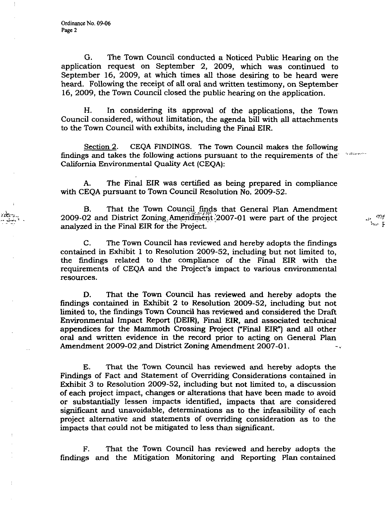÷

G. The Town Council conducted a Noticed Public Hearing on the application request on September 2, 2009, which was continued to September 16, 2009, at which times all those desiring to be heard were heard. Following the receipt of all oral and written testimony, on September 16, 2009, the Town Council closed the public hearing on the application.

H. In considering its approval of the applications, the Town Council considered, without limitation, the agenda bill with all attachments to the Town Council with exhibits, including the Final EIR.

Section 2. CEQA FINDINGS. The Town Council makes the following findings and takes the following actions pursuant to the requirements of the California Environmental Quality Act (CEQA):

A. The Final EIR was certified as being prepared in compliance with CEQA pursuant to Town Council Resolution No. 2009-52.

B. That the Town Council finds that General Plan Amendment 2009-02 and District Zoning. Ameridinerit'2007-01 were part of the project analyzed in the Final EIR for the Project.

C. The Town Council has reviewed and hereby adopts the findings contained in Exhibit 1 to Resolution 2009-52, including but not limited to, the findings related to the compliance of the Final EIR with the requirements of CEQA and the Project's impact to various environmental resources.

D. That the Town Council has reviewed and hereby adopts the findings contained in Exhibit 2 to Resolution 2009-52, including but not limited to, the findings Town Council has reviewed and considered the Draft Environmental Impact Report (DEIR), Final EIR, and associated technical appendices for the Mammoth Crossing Project (\*'Final EIR") and all other oral and written evidence in the record prior to acting on General Plan Amendment 2009-02 ,and District Zoning Amendment 2007-01.

E. That the Town Council has reviewed and hereby adopts the Findings of Fact and Statement of Overriding Considerations contained in Exhibit 3 to Resolution 2009-52, including but not limited to, a discussion of each project impact, changes or alterations that have been made to avoid or substantially lessen impacts identified, impacts that are considered significant and unavoidable, determinations as to the infeasibility of each project alternative and statements of overriding consideration as to the impacts that could not be mitigated to less than significant.

F. That the Town Council has reviewed and hereby adopts the findings and the Mitigation Monitoring and Reporting Plan contained mŗ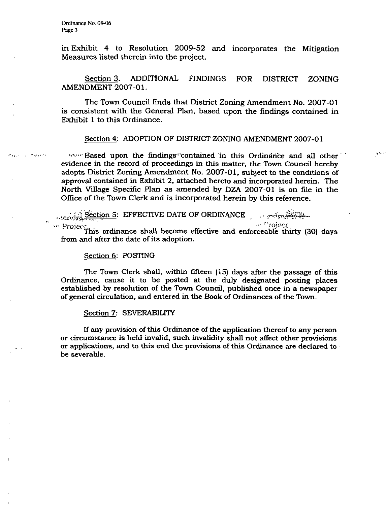$T_{\rm H}$  and  $T_{\rm H}$ 

in Exhibit 4 to Resolution 2009-52 and incorporates the Mitigation Measures listed therein into the project.

Section 3. ADDITIONAL FINDINGS FOR DISTRICT ZONING AMENDMENT 2007-01.

The Town Council finds that District Zoning Amendment No. 2007-01 is consistent with the General Plan, based upon the findings contained in Exhibit 1 to this Ordinance.

#### Section 4: ADOPTION OF DISTRICT ZONING AMENDMENT 2007-01

vor-Based upon the findings "contained in this Ordinance and all other evidence in the record of proceedings in this matter, the Town Council hereby adopts District Zoning Amendment No. 2007-01, subject to the conditions of approval contained in Exhibit 2, attached hereto and incorporated herein. The North Village Specific Plan as amended by DZA 2007-01 is on file in the Office of the Town Clerk and is incorporated herein by this reference.

 $s_{\text{ection 5}}$ : EFFECTIVE DATE OF ORDINANCE ., .v.r. $s_{\text{e}}$ **Company** 

Project This ordinance shall become effective and enforceable thirty (30) days from and after the date of its adoption.

#### Section 6: POSTING

The Town Clerk shall, within fifteen (15) days after the passage of this Ordinance, cause it to be posted at the duly designated posting places established by resolution of the Town Council, published once in a newspaper of general circulation, and entered in the Book of Ordinances of the Town.

#### Section 7: SEVERABILITY

If any provision of this Ordinance of the application thereof to any person or circumstance is held invalid, such invalidity shall not affect other provisions or applications, and to this end the provisions of this Ordinance are declared to be severable.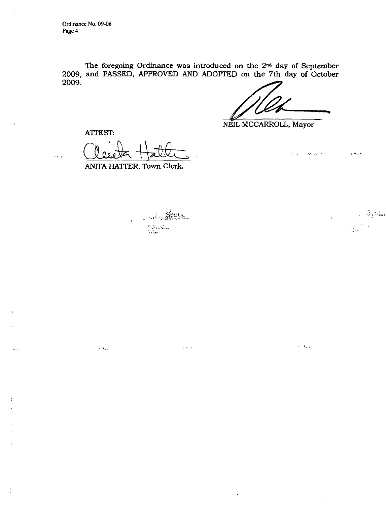Ordinance No. 09-06 Page 4

The foregoing Ordinance was introduced on the  $2<sup>nd</sup>$  day of September 2009, and PASSED, APPROVED AND ADOPTED on the 7th day of October 2009.

 $\alpha$  ,  $\alpha$  ,  $\alpha$  ,  $\alpha$ 

 $\sigma$  and

NEIL MCCARROLL, Mayor

ATTEST:

 $\sim 100$ 

 $\cdots$ 

نىللا

ANITA HATTER, Town Clerk.

*,-.,-> ^-.M^}^* 

 $\alpha$  ,  $\alpha$  ,  $\alpha$ 

معظم بها الأرادية المحمد  $\Lambda_{\rm eff}$ 

 $\mathcal{L}(\mathbf{A})$  , if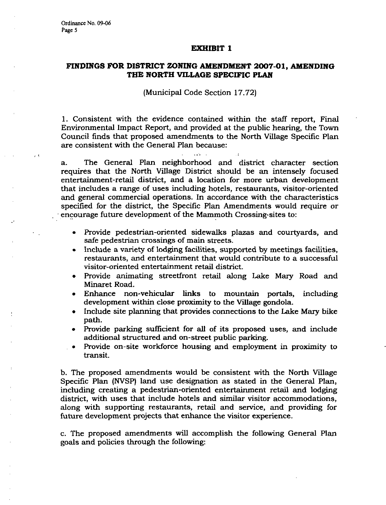#### **EXHIBIT 1**

#### **FINDINGS FOR DISTRICT ZONING AMENDMENT 2007-01 , AMENDING THE NORTH VILLAGE SPECIFIC PLAN**

#### (Municipal Code Section 17.72)

1. Consistent with the evidence contained within the staff report. Final Environmental Impact Report, and provided at the public hearing, the Town Council finds that proposed amendments to the North Village Specific Plan are consistent with the General Plan because:

a. The General Plan neighborhood and district character section requires that the North Village District should be an intensely focused entertainment-retail district, and a location for more urban development that includes a range of uses including hotels, restaurants, visitor-oriented and general commercial operations. In accordance with the characteristics specified for the district, the Specific Plan Amendments would require or encourage future development of the Mammoth Crossing sites to:

- Provide pedestrian-oriented sidewalks plazas and courtyards, and safe pedestrian crossings of main streets.
- Include a variety of lodging facilities, supported by meetings facilities, restaurants, and entertainment that would contribute to a successful visitor-oriented entertainment retail district.
- Provide animating streetfront retail along Lake Mary Road and Minaret Road.
- Enhance non-vehicular links to mountain portals, including development within close proximity to the Village gondola.
- Include site planning that provides connections to the Lake Mary bike path.
- Provide parking sufficient for aU of its proposed uses, and include additional structured and on-street public parking.
- Provide on-site workforce housing and employment in proximity to transit.

b. The proposed amendments would be consistent with the North Village Specific Plan (NVSP) land use designation as stated in the General Plan, including creating a pedestrian-oriented entertainment retail and lodging district, with uses that include hotels and similar visitor accommodations, along with supporting restaurants, retail and service, and providing for future development projects that enhance the visitor experience.

c. The proposed amendments will accomplish the following General Plan goals and policies through the following: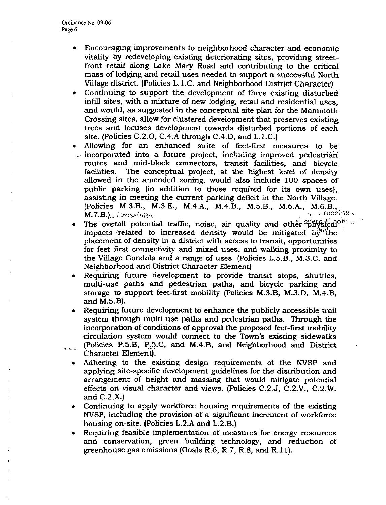- Encouraging improvements to neighborhood character and economic  $\bullet$ vitality by redeveloping existing deteriorating sites, providing streetfront retail along Lake Mary Road and contributing to the critical mass of lodging and retail uses needed to support a successful North Village district. (Policies L.l.C. and Neighborhood District Character)
- Continuing to support the development of three existing disturbed infill sites, with a mixture of new lodging, retail and residential uses, and would, as suggested in the conceptual site plan for the Mammoth Crossing sites, allow for clustered development that preserves existing trees and focuses development towards disturbed portions of each site. (Policies C.2.O, C.4.A through C.4.D, and L.1.C.)
- Allowing for an enhanced suite of feet-first measures to be  $\therefore$  incorporated into a future project, including improved pedestrian routes and mid-block connectors, transit facilities, and bicycle facilities. The conceptual project, at the highest level of density allowed in the amended zoning, would also include 100 spaces of public parking (in addition to those required for its own uses), assisting in meeting the current parking deficit in the North Village. (Policies M.3.B., M.3.E., M.4.A., M.4.B., M.5.B., M.6.A., M.6.B.,  $M.7.B.]$ .  $\therefore$   $\therefore$   $\therefore$   $\therefore$   $\therefore$   $\therefore$   $\therefore$   $\therefore$   $\therefore$   $\therefore$   $\therefore$   $\therefore$   $\therefore$   $\therefore$   $\therefore$   $\therefore$   $\therefore$   $\therefore$   $\therefore$   $\therefore$   $\therefore$   $\therefore$   $\therefore$   $\therefore$   $\therefore$   $\therefore$   $\therefore$   $\therefore$   $\therefore$   $\therefore$   $\therefore$   $\therefore$   $\therefore$   $\therefore$   $\therefore$   $\$
- The overall potential traffic, noise, air quality and other  $^{\mathrm{op}}\mathrm{fr\^{e}\acute{e}i}$ impacts related to increased density would be mitigated by the placement of density in a district with access to transit, opportunities for feet first connectivity and mixed uses, and walking proximity to the Village Gondola and a range of uses. (Policies L.5.B., M.3.C. and Neighborhood and District Character Element)
- Requiring future development to provide transit stops, shuttles,  $\bullet$ multi-use paths and pedestrian paths, and bicycle parking and storage to support feet-first mobility (Policies M.3.B, M.3.D, M.4.B, and M.5.B).
- Requiring future development to enhance the publicly accessible trail system through multi-use paths and pedestrian paths. Through the incorporation of conditions of approval the proposed feet-first mobility circulation system would connect to the Town's existing sidewalks (Policies P.5.B, P.5.C, and M.4.B, and Neighborhood and District ال<br>منابعة المعام Character Element).
	- Adhering to the existing design requirements of the NVSP and  $\bullet$ applying site-specific development guidelines for the distribution and arrangement of height and massing that would mitigate potential effects on visual character and views. (Policies C.2.J, C.2.V., C.2.W. and C.2.X.)
	- Continuing to apply workforce housing requirements of the existing NVSP, including the provision of a significant increment of workforce housing on-site. (Policies L.2.A and L.2.B.)
	- Requiring feasible implementation of measures for energy resources and conservation, green building technology, and reduction of greenhouse gas emissions (Goals R.6, R.7, R.8, and R.ll).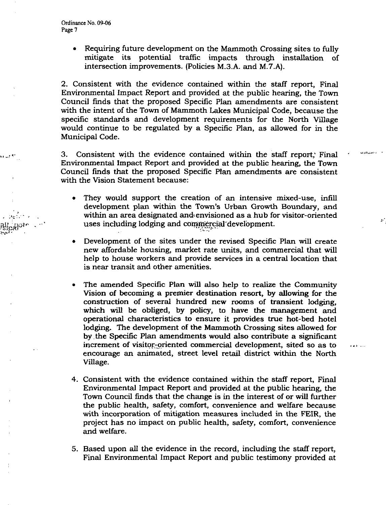• Requiring future development on the Mammoth Crossing sites to fully mitigate its potential traffic impacts through installation of intersection improvements. (Policies M.3.A. and M.7.A).

2. Consistent with the evidence contained within the staff report, Final Environmental Impact Report and provided at the public hearing, the Town Council finds that the proposed Specific Plan amendments are consistent with the intent of the Town of Mammoth Lakes Municipal Code, because the specific standards and development requirements for the North Village would continue to be regulated by a Specific Plan, as allowed for in the Municipal Code.

3. Consistent with the evidence contained within the staff report,' Final Environmental Impact Report and provided at the public hearing, the Town Council finds that the proposed Specific Plan amendments are consistent with the Vision Statement because:

ويتمزر لاداف

 $\ddotsc$ 

- They would support the creation of an intensive mixed-use, infill development plan within the Town's Urban Growth Boundary, and within an area designated and envisioned as a hub for visitor-oriented uses including lodging and commercial development.
- Development of the sites under the revised Specific Plan will create new affordable housing, market rate units, and commercial that will help to house workers and provide services in a central location that is near transit and other amenities.
- The amended Specific Plan will also help to realize the Community Vision of becoming a premier destination resort, by allowing for the construction of several hundred new rooms of transient lodging, which will be obliged, by policy, to have the management and operational characteristics to ensure it provides true hot-bed hotel lodging. The development of the Mammoth Crossing sites allowed for by the Specific Plan amendments would also contribute a significant increment of visitor-oriented commercial development, sited so as to encourage an animated, street level retail district within the North Village.
- 4. Consistent with the evidence contained within the staff report, Final Environmental Impact Report and provided at the public hearing, the Town Council finds that the change is in the interest of or will further the public health, safety, comfort, convenience and welfare because with incorporation of mitigation measures included in the FEIR, the project has no impact on public health, safety, comfort, convenience and welfare.
- 5. Based upon all the evidence in the record, including the staff report. Final Environmental Impact Report and public testimony provided at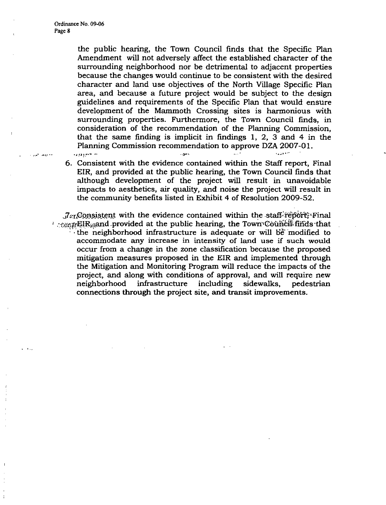$\sqrt{2}$ 

the public hearing, the Town Council finds that the Specific Plan Amendment will not adversely affect the established character of the surrounding neighborhood nor be detrimental to adjacent properties because the changes would continue to be consistent with the desired character and land use objectives of the North Village Specific Plan area, and because a future project would be subject to the design guidelines and requirements of the Specific Plan that would ensure development of the Mammoth Crossing sites is harmonious with surrounding properties. Furthermore, the Town Council finds, in consideration of the recommendation of the Planning Commission, that the same finding is implicit in findings 1, 2, 3 and 4 in the Planning Commission recommendation to approve DZA 2007-01.  $J_{\rm 2.11}$  ,  $J_{\rm 2.11}$   $\sim$ 

6. Consistent with the evidence contained within the Staff report. Final EIR, and provided at the public hearing, the Town Council finds that although development of the project will result in unavoidable impacts to aesthetics, air quality, and noise the project will result in the community benefits listed in Exhibit 4 of Resolution 2009-52.

 $a^T_{\text{AT}}$ Consistent with the evidence contained within the staff-report; Final ' .:a?j:ffEIRiaand provided at the public hearing, the Town'^GouiiGiil finds that the neighborhood infrastructure is adequate or will be modified to accommodate any increase in intensity of land use if such would occur from a change in the zone classification because the proposed mitigation measures proposed in the EIR and implemented through the Mitigation and Monitoring Program will reduce the impacts of the project, and along with conditions of approval, and will require new neighborhood infrastructure including sidewalks, pedestrian connections through the project site, and transit improvements.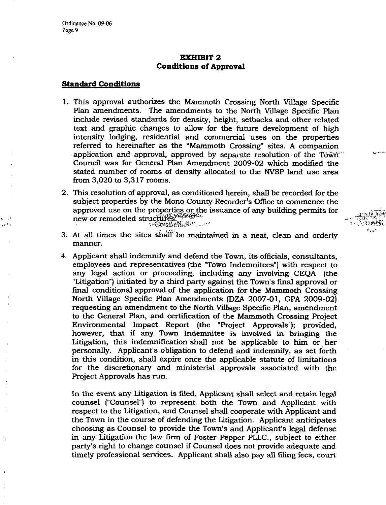$\sim$  $\cdot$ 

### **EXHIBIT 2 Conditions of Approval**

#### **Standard Conditions**

- 1. This approval authorizes the Mammoth Crossing North Village Specific Plan amendments. The amendments to the North Village Specific Plan include revised standards for density, height, setbacks and other related text and graphic changes to allow for the future development of high intensity lodging, residential and commercial uses on the properties referred to hereinafter as the "Mammoth Crossing" sites. A companion application and approval, approved by separate resolution of the Town " Council was for General Plan Amendment 2009-02 which modified the stated number of rooms of density allocated to the NVSP land use area from 3,020 to 3,317 rooms.
- 2. This resolution of approval, as conditioned herein, shall be recorded for the subject properties by the Mono County Recorder's Office to commence the approved use on the properties or the issuance of any building permits for new or remodeled structures.
- $\mathcal{L} = \mathcal{L} \mathcal{L}$  , and the set of the set of the set of the set of the set of the set of the set of the set of the set of the set of the set of the set of the set of the set of the set of the set of the set of the se 3. At all times the sites shall be maintained in a neat, clean and orderly manner.
- 4. Applicant shall indemnify and defend the Town, its officials, consultants, employees and representatives (the "Town Indemnitees") with respect to any legal action or proceeding, including any involving CEQA (the "Litigation") initiated by a third party against the Town's final approval or final conditional approval of the application for the Mammoth Crossing North Village Specific Plan Amendments (DZA 2007-01, GPA 2009-02) requesting an amendment to the North Village Specific Plan, amendment to the General Plan, and certification of the Mammoth Crossing Project Environmental Impact Report (the "Project Approvals"); provided, however, that if any Town Indemnitee is involved in bringing the Litigation, this indemnification shall not be applicable to him or her personally. Applicant's obligation to defend and indemnify, as set forth in this condition, shall expire once the applicable statute of limitations for the discretionary and ministerial approvals associated with the Project Approvals has run.

In the event any Litigation is filed. Applicant shall select and retain legal counsel ("Counsel") to represent both the Town and Applicant with respect to the Litigation, and Counsel shall cooperate with Applicant and the Town in the course of defending the Litigation. Applicant anticipates choosing as Counsel to provide the Town's and Applicant's legal defense in any Litigation the law firm of Foster Pepper PLLC, subject to either party's right to change counsel if Counsel does not provide adequate and timely professional services. Applicant shall also pay all filing fees, court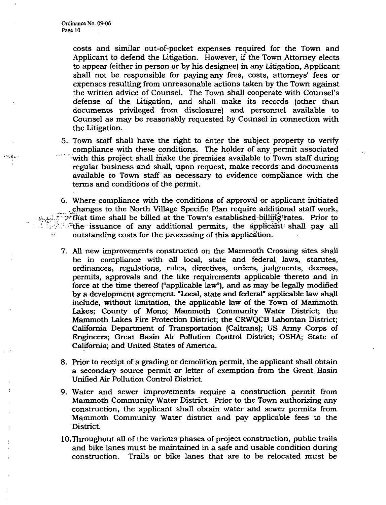costs and similar out-of-pocket expenses required for the Town and Applicant to defend the Litigation. However, if the Town Attorney elects to appear (either in person or by his designee) in any Litigation, Applicant shall not be responsible for paying any fees, costs, attorneys' fees or expenses resulting from unreasonable actions taken by the Town against the written advice of Counsel. The Town shall cooperate with Counsel's defense of the Litigation, and shall make its records (other than documents privileged from disclosure) and personnel available to Counsel as may be reasonably requested by Counsel in connection with the Litigation.

- 5. Town staff shall have the right to enter the subject property to verify compliance with these conditions. The holder of any permit associated with this project shall make the premises available to Town staff during regular business and shall, upon request, make records and documents available to Town staff as necessary to evidence compliance with the terms and conditions of the permit.
- 6. Where compliance with the conditions of approval or applicant initiated ^changes to the North Village Specific Plan require additional staff work, .A.:..":>'^tHat time shall be billed at the Town's established billing =i^tes. Prior to  $\mathbb{Z}$ . Fine issuance of any additional permits, the applicant-shall pay all outstanding costs for the processing of this application.
	- 7. All new improvements constructed on the Mammoth Crossing sites shall be in compliance with all local, state and federal laws, statutes, ordinances, regulations, rules, directives, orders, judgments, decrees, permits, approvals and the like requirements applicable thereto and in force at the time thereof ("applicable law"), and as may be legally modified by a development agreement. "Local, state and federal" applicable law shall include, without limitation, the applicable law of the Town of Mammoth Lakes; County of Mono; Mammoth Community Water District; the Mammoth Lakes Fire Protection District; the CRWQCB Lahontan District; California Department of Transportation (Caltrans); US Army Corps of Engineers; Great Basin Air Pollution Control District; OSHA; State of California; and United States of America.
	- 8. Prior to receipt of a grading or demolition permit, the applicant shall obtain a secondary source permit or letter of exemption from the Great Basin Unified Air Pollution Control District.
	- 9. Water and sewer improvements require a construction permit from Mammoth Community Water District. Prior to the Town authorizing any construction, the applicant shall obtain water and sewer permits from Mammoth Community Water district and pay applicable fees to the District.
	- lO.Throughout all of the various phases of project construction, public trails and bike lanes must be maintained in a safe and usable condition during construction. Trails or bike lanes that are to be relocated must be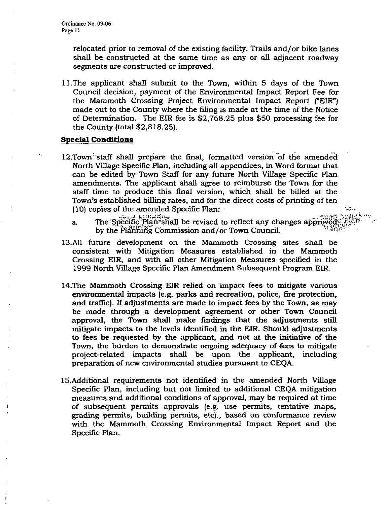relocated prior to removal of the existing facility. Trails and/or bike lanes shall be constructed at the same time as any or all adjacent roadway segments are constructed or improved.

11.The applicant shall submit to the Town, within 5 days of the Town Council decision, payment of the Environmental Impact Report Fee for the Mammoth Crossing Project Environmental Impact Report ("EIR") made out to the County where the filing is made at the time of the Notice of Determination. The EIR fee is \$2,768.25 plus \$50 processing fee for the County (total \$2,818.25).

#### **Special Conditions**

- 12.Town staff shall prepare the final, formatted version of the amended North Village Specific Plan, including all appendices, in Word format that can be edited by Town Staff for any future North Village Specific Plan amendments. The applicant shall agree to reimburse the Town for the staff time to produce this final version, which shall be billed at the Town's established billing rates, and for the direct costs of printing of ten  $(10)$  copies of the amended Specific Plan:
	- a. The Specific Plan<sup>-</sup>shall be revised to reflect any changes approved by the Planning Commission and/or Town Council.

 $\mathbf{I}_{\mathbf{y}}$  .

- 13.A11 future development on the Mammoth Crossing sites shall be consistent with Mitigation Measures established in the Mammoth Crossing EIR, and with all other Mitigation Measures specified in the 1999 North Village Specific Plan Amendment Subsequent Program EIR.
- 14.The Mammoth Crossing EIR relied on impact fees to mitigate various environmental impacts (e.g. parks and recreation, police, fire protection, and traffic). If adjustments are made to impact fees by the Town, as may be made through a development agreement or other Town Council approval, the Town shall make findings that the adjustments still mitigate impacts to the levels identified in the EIR. Should adjustments to fees be requested by the applicant, and not at the initiative of the Town, the burden to demonstrate ongoing adequacy of fees to mitigate project-related impacts shall be upon the applicant, including preparation of new environmental studies pursuant to CEQA.
- 15.Additional requirements not identified in the amended North Village Specific Plan, including but not limited to additional CEQA mitigation measures and additional conditions of approval, may be required at time of subsequent permits approvals (e.g. use permits, tentative maps, grading permits, building permits, etc)., based on conformance review with the Mammoth Crossing Environmental Impact Report and the Specific Plan.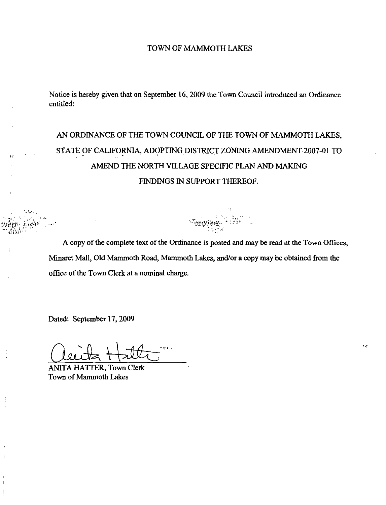#### TOWN OF MAMMOTH LAKES

Notice is hereby given that on September 16, 2009 the Town Council introduced an Ordinance entitled:

## AN ORDINANCE OF THE TOWN COUNCIL OF THE TOWN OF MAMMOTH LAKES. STATE OF CALIFORNIA, ADOPTING DISTRICT ZONING AMENDMENT 2007-01 TO AMEND THE NORTH VILLAGE SPECIFIC PLAN AND MAKING FINDINGS IN SUPPORT THEREOF.

A copy of the complete text of the Ordinance is posted and may be read at the Town Offices, Minaret Mall, Old Mammoth Road, Mammoth Lakes, and/or a copy may be obtained from the office of the Town Clerk at a nominal charge.

Dated: September 17,2009

ANITA HATTER, Town Clerk Town of Mammoth Lakes

 $\cdot$  .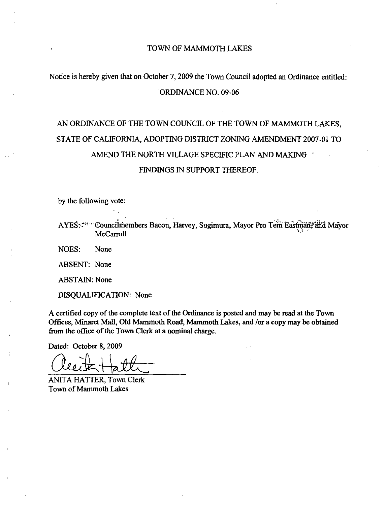#### TOWN OF MAMMOTH LAKES

### Notice is hereby given that on October 7,2009 the Town Council adopted an Ordinance entitled: ORDINANCE NO. 09-06

# AN ORDINANCE OF THE TOWN COUNCIL OF THE TOWN OF MAMMOTH LAKES, STATE OF CALIFORNIA, ADOPTING DISTRICT ZONING AMENDMENT 2007-01 TO AMEND THE NORTH VILLAGE SPECIFIC PLAN AND MAKING ' FINDINGS IN SUPPORT THEREOF.

by the following vote:

AYES:  $\sharp^{n}$ "Councilmembers Bacon, Harvey, Sugimura, Mayor Pro Tem Eastman<sup>16</sup>and Mayor McCarroll

NOES: None

ABSENT: None

ABSTAIN: None

DISQUALIFICATION: None

A certified copy of the complete text of the Ordinance is posted and may be read at the Town Offices, Minaret Mall, Old Mammoth Road, Mammoth Lakes, and /or a copy may be obtained from the office of the Town Clerk at a nominal charge.

Dated: October 8,2009

ANITA HATTER, Town Clerk Town of Mammoth Lakes